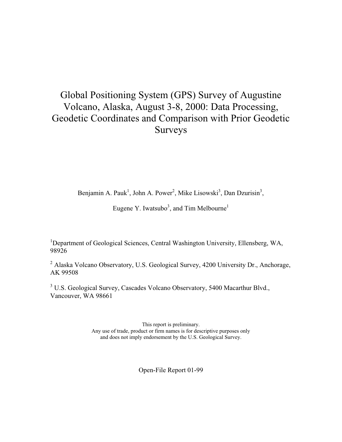# Global Positioning System (GPS) Survey of Augustine Volcano, Alaska, August 3-8, 2000: Data Processing, Geodetic Coordinates and Comparison with Prior Geodetic Surveys

Benjamin A. Pauk<sup>1</sup>, John A. Power<sup>2</sup>, Mike Lisowski<sup>3</sup>, Dan Dzurisin<sup>3</sup>,

Eugene Y. Iwatsubo<sup>3</sup>, and Tim Melbourne<sup>1</sup>

<sup>1</sup>Department of Geological Sciences, Central Washington University, Ellensberg, WA, 98926

<sup>2</sup> Alaska Volcano Observatory, U.S. Geological Survey, 4200 University Dr., Anchorage, AK 99508

<sup>3</sup> U.S. Geological Survey, Cascades Volcano Observatory, 5400 Macarthur Blvd., Vancouver, WA 98661

> This report is preliminary. Any use of trade, product or firm names is for descriptive purposes only and does not imply endorsement by the U.S. Geological Survey.

> > Open-File Report 01-99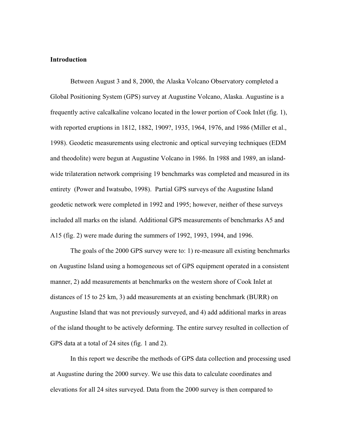#### **Introduction**

Between August 3 and 8, 2000, the Alaska Volcano Observatory completed a Global Positioning System (GPS) survey at Augustine Volcano, Alaska. Augustine is a frequently active calcalkaline volcano located in the lower portion of Cook Inlet (fig. 1), with reported eruptions in 1812, 1882, 1909?, 1935, 1964, 1976, and 1986 (Miller et al., 1998). Geodetic measurements using electronic and optical surveying techniques (EDM and theodolite) were begun at Augustine Volcano in 1986. In 1988 and 1989, an islandwide trilateration network comprising 19 benchmarks was completed and measured in its entirety (Power and Iwatsubo, 1998). Partial GPS surveys of the Augustine Island geodetic network were completed in 1992 and 1995; however, neither of these surveys included all marks on the island. Additional GPS measurements of benchmarks A5 and A15 (fig. 2) were made during the summers of 1992, 1993, 1994, and 1996.

The goals of the 2000 GPS survey were to: 1) re-measure all existing benchmarks on Augustine Island using a homogeneous set of GPS equipment operated in a consistent manner, 2) add measurements at benchmarks on the western shore of Cook Inlet at distances of 15 to 25 km, 3) add measurements at an existing benchmark (BURR) on Augustine Island that was not previously surveyed, and 4) add additional marks in areas of the island thought to be actively deforming. The entire survey resulted in collection of GPS data at a total of 24 sites (fig. 1 and 2).

In this report we describe the methods of GPS data collection and processing used at Augustine during the 2000 survey. We use this data to calculate coordinates and elevations for all 24 sites surveyed. Data from the 2000 survey is then compared to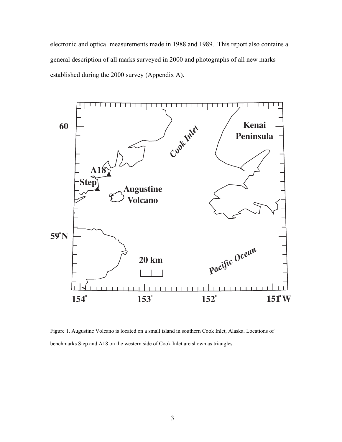electronic and optical measurements made in 1988 and 1989. This report also contains a general description of all marks surveyed in 2000 and photographs of all new marks established during the 2000 survey (Appendix A).



Figure 1. Augustine Volcano is located on a small island in southern Cook Inlet, Alaska. Locations of benchmarks Step and A18 on the western side of Cook Inlet are shown as triangles.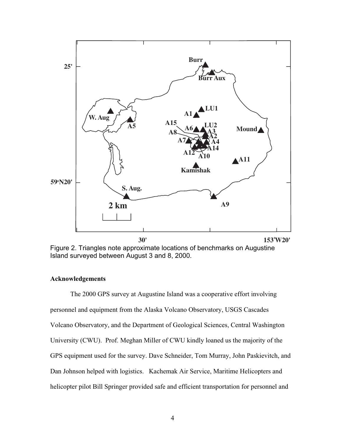

Figure 2. Triangles note approximate locations of benchmarks on Augustine Island surveyed between August 3 and 8, 2000.

#### **Acknowledgements**

The 2000 GPS survey at Augustine Island was a cooperative effort involving personnel and equipment from the Alaska Volcano Observatory, USGS Cascades Volcano Observatory, and the Department of Geological Sciences, Central Washington University (CWU). Prof. Meghan Miller of CWU kindly loaned us the majority of the GPS equipment used for the survey. Dave Schneider, Tom Murray, John Paskievitch, and Dan Johnson helped with logistics. Kachemak Air Service, Maritime Helicopters and helicopter pilot Bill Springer provided safe and efficient transportation for personnel and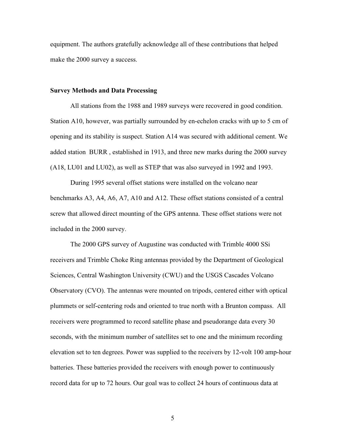equipment. The authors gratefully acknowledge all of these contributions that helped make the 2000 survey a success.

#### **Survey Methods and Data Processing**

All stations from the 1988 and 1989 surveys were recovered in good condition. Station A10, however, was partially surrounded by en-echelon cracks with up to 5 cm of opening and its stability is suspect. Station A14 was secured with additional cement. We added station BURR , established in 1913, and three new marks during the 2000 survey (A18, LU01 and LU02), as well as STEP that was also surveyed in 1992 and 1993.

During 1995 several offset stations were installed on the volcano near benchmarks A3, A4, A6, A7, A10 and A12. These offset stations consisted of a central screw that allowed direct mounting of the GPS antenna. These offset stations were not included in the 2000 survey.

The 2000 GPS survey of Augustine was conducted with Trimble 4000 SSi receivers and Trimble Choke Ring antennas provided by the Department of Geological Sciences, Central Washington University (CWU) and the USGS Cascades Volcano Observatory (CVO). The antennas were mounted on tripods, centered either with optical plummets or self-centering rods and oriented to true north with a Brunton compass. All receivers were programmed to record satellite phase and pseudorange data every 30 seconds, with the minimum number of satellites set to one and the minimum recording elevation set to ten degrees. Power was supplied to the receivers by 12-volt 100 amp-hour batteries. These batteries provided the receivers with enough power to continuously record data for up to 72 hours. Our goal was to collect 24 hours of continuous data at

5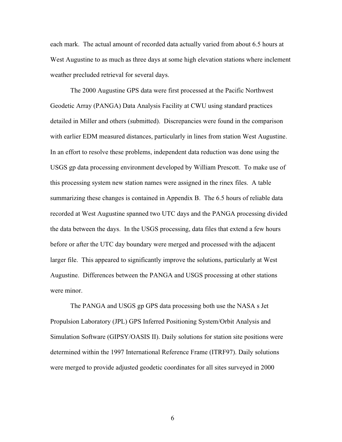each mark. The actual amount of recorded data actually varied from about 6.5 hours at West Augustine to as much as three days at some high elevation stations where inclement weather precluded retrieval for several days.

The 2000 Augustine GPS data were first processed at the Pacific Northwest Geodetic Array (PANGA) Data Analysis Facility at CWU using standard practices detailed in Miller and others (submitted). Discrepancies were found in the comparison with earlier EDM measured distances, particularly in lines from station West Augustine. In an effort to resolve these problems, independent data reduction was done using the USGS gp data processing environment developed by William Prescott. To make use of this processing system new station names were assigned in the rinex files. A table summarizing these changes is contained in Appendix B. The 6.5 hours of reliable data recorded at West Augustine spanned two UTC days and the PANGA processing divided the data between the days. In the USGS processing, data files that extend a few hours before or after the UTC day boundary were merged and processed with the adjacent larger file. This appeared to significantly improve the solutions, particularly at West Augustine. Differences between the PANGA and USGS processing at other stations were minor

The PANGA and USGS gp GPS data processing both use the NASA s Jet Propulsion Laboratory (JPL) GPS Inferred Positioning System/Orbit Analysis and Simulation Software (GIPSY/OASIS II). Daily solutions for station site positions were determined within the 1997 International Reference Frame (ITRF97). Daily solutions were merged to provide adjusted geodetic coordinates for all sites surveyed in 2000

6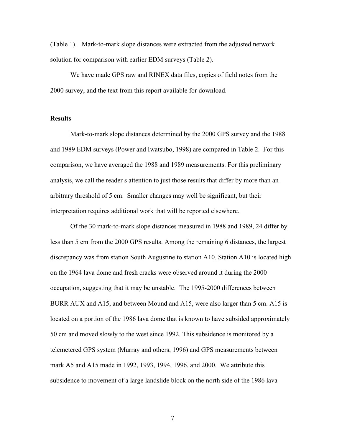(Table 1). Mark-to-mark slope distances were extracted from the adjusted network solution for comparison with earlier EDM surveys (Table 2).

We have made GPS raw and RINEX data files, copies of field notes from the 2000 survey, and the text from this report available for download.

#### **Results**

Mark-to-mark slope distances determined by the 2000 GPS survey and the 1988 and 1989 EDM surveys (Power and Iwatsubo, 1998) are compared in Table 2. For this comparison, we have averaged the 1988 and 1989 measurements. For this preliminary analysis, we call the reader s attention to just those results that differ by more than an arbitrary threshold of 5 cm. Smaller changes may well be significant, but their interpretation requires additional work that will be reported elsewhere.

Of the 30 mark-to-mark slope distances measured in 1988 and 1989, 24 differ by less than 5 cm from the 2000 GPS results. Among the remaining 6 distances, the largest discrepancy was from station South Augustine to station A10. Station A10 is located high on the 1964 lava dome and fresh cracks were observed around it during the 2000 occupation, suggesting that it may be unstable. The 1995-2000 differences between BURR AUX and A15, and between Mound and A15, were also larger than 5 cm. A15 is located on a portion of the 1986 lava dome that is known to have subsided approximately 50 cm and moved slowly to the west since 1992. This subsidence is monitored by a telemetered GPS system (Murray and others, 1996) and GPS measurements between mark A5 and A15 made in 1992, 1993, 1994, 1996, and 2000. We attribute this subsidence to movement of a large landslide block on the north side of the 1986 lava

7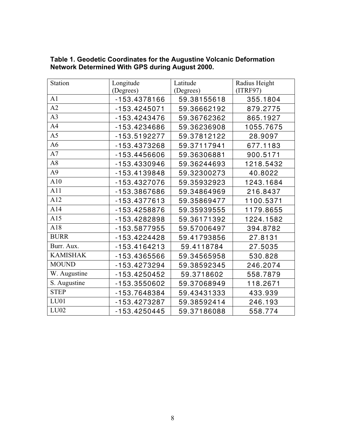| <b>Station</b>  | Longitude      | Latitude    | Radius Height |
|-----------------|----------------|-------------|---------------|
|                 | (Degrees)      | (Degrees)   | (ITERF97)     |
| A1              | -153.4378166   | 59.38155618 | 355.1804      |
| A2              | $-153.4245071$ | 59.36662192 | 879.2775      |
| A3              | -153.4243476   | 59.36762362 | 865.1927      |
| A4              | -153.4234686   | 59.36236908 | 1055.7675     |
| A <sub>5</sub>  | $-153.5192277$ | 59.37812122 | 28.9097       |
| A <sub>6</sub>  | -153.4373268   | 59.37117941 | 677.1183      |
| A7              | -153.4456606   | 59.36306881 | 900.5171      |
| A8              | -153.4330946   | 59.36244693 | 1218.5432     |
| A <sup>9</sup>  | -153.4139848   | 59.32300273 | 40.8022       |
| A10             | -153.4327076   | 59.35932923 | 1243.1684     |
| A11             | -153.3867686   | 59.34864969 | 216.8437      |
| A12             | -153.4377613   | 59.35869477 | 1100.5371     |
| A14             | -153.4258876   | 59.35939555 | 1179.8655     |
| A15             | -153.4282898   | 59.36171392 | 1224.1582     |
| A18             | -153.5877955   | 59.57006497 | 394.8782      |
| <b>BURR</b>     | $-153.4224428$ | 59.41793856 | 27.8131       |
| Burr. Aux.      | $-153.4164213$ | 59.4118784  | 27.5035       |
| <b>KAMISHAK</b> | -153.4365566   | 59.34565958 | 530.828       |
| <b>MOUND</b>    | -153.4273294   | 59.38592345 | 246.2074      |
| W. Augustine    | -153.4250452   | 59.3718602  | 558.7879      |
| S. Augustine    | -153.3550602   | 59.37068949 | 118.2671      |
| <b>STEP</b>     | -153.7648384   | 59.43431333 | 433.939       |
| LU01            | -153.4273287   | 59.38592414 | 246.193       |
| LU02            | -153.4250445   | 59.37186088 | 558.774       |

**Table 1. Geodetic Coordinates for the Augustine Volcanic Deformation Network Determined With GPS during August 2000.**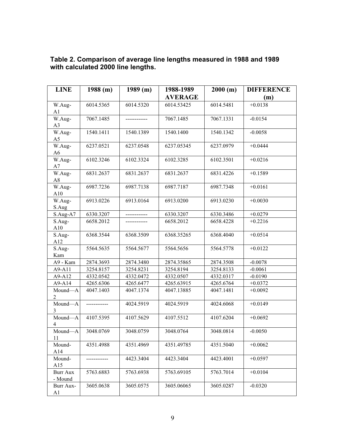| <b>LINE</b>                 | 1988(m)   | 1989(m)   | 1988-1989      | 2000(m)   | <b>DIFFERENCE</b> |
|-----------------------------|-----------|-----------|----------------|-----------|-------------------|
|                             |           |           | <b>AVERAGE</b> |           | (m)               |
| W.Aug-                      | 6014.5365 | 6014.5320 | 6014.53425     | 6014.5481 | $+0.0138$         |
| A <sub>1</sub>              |           |           |                |           |                   |
| W.Aug-<br>A <sub>3</sub>    | 7067.1485 |           | 7067.1485      | 7067.1331 | $-0.0154$         |
| W.Aug-<br>A <sub>5</sub>    | 1540.1411 | 1540.1389 | 1540.1400      | 1540.1342 | $-0.0058$         |
| W.Aug-<br>A6                | 6237.0521 | 6237.0548 | 6237.05345     | 6237.0979 | $+0.0444$         |
| W.Aug-<br>A7                | 6102.3246 | 6102.3324 | 6102.3285      | 6102.3501 | $+0.0216$         |
| W.Aug-<br>A8                | 6831.2637 | 6831.2637 | 6831.2637      | 6831.4226 | $+0.1589$         |
| W.Aug-<br>A10               | 6987.7236 | 6987.7138 | 6987.7187      | 6987.7348 | $+0.0161$         |
| W.Aug-<br>S.Aug             | 6913.0226 | 6913.0164 | 6913.0200      | 6913.0230 | $+0.0030$         |
| $S$ .Aug-A7                 | 6330.3207 |           | 6330.3207      | 6330.3486 | $+0.0279$         |
| S.Aug-<br>A10               | 6658.2012 |           | 6658.2012      | 6658.4228 | $+0.2216$         |
| S.Aug-<br>A12               | 6368.3544 | 6368.3509 | 6368.35265     | 6368.4040 | $+0.0514$         |
| S.Aug-<br>Kam               | 5564.5635 | 5564.5677 | 5564.5656      | 5564.5778 | $+0.0122$         |
| A9 - Kam                    | 2874.3693 | 2874.3480 | 2874.35865     | 2874.3508 | $-0.0078$         |
| A9-A11                      | 3254.8157 | 3254.8231 | 3254.8194      | 3254.8133 | $-0.0061$         |
| A9-A12                      | 4332.0542 | 4332.0472 | 4332.0507      | 4332.0317 | $-0.0190$         |
| A9-A14                      | 4265.6306 | 4265.6477 | 4265.63915     | 4265.6764 | $+0.0372$         |
| Mound-A<br>$\overline{2}$   | 4047.1403 | 4047.1374 | 4047.13885     | 4047.1481 | $+0.0092$         |
| Mound-A<br>3                |           | 4024.5919 | 4024.5919      | 4024.6068 | $+0.0149$         |
| Mound-A<br>4                | 4107.5395 | 4107.5629 | 4107.5512      | 4107.6204 | $+0.0692$         |
| Mound-A<br>11               | 3048.0769 | 3048.0759 | 3048.0764      | 3048.0814 | $-0.0050$         |
| Mound-<br>A14               | 4351.4988 | 4351.4969 | 4351.49785     | 4351.5040 | $+0.0062$         |
| Mound-<br>A15               |           | 4423.3404 | 4423.3404      | 4423.4001 | $+0.0597$         |
| Burr Aux<br>- Mound         | 5763.6883 | 5763.6938 | 5763.69105     | 5763.7014 | $+0.0104$         |
| Burr Aux-<br>A <sub>1</sub> | 3605.0638 | 3605.0575 | 3605.06065     | 3605.0287 | $-0.0320$         |

**Table 2. Comparison of average line lengths measured in 1988 and 1989 with calculated 2000 line lengths.**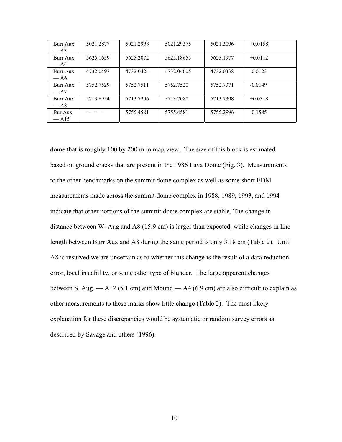| Burr Aux            | 5021.2877 | 5021.2998 | 5021.29375 | 5021.3096 | $+0.0158$ |
|---------------------|-----------|-----------|------------|-----------|-----------|
| $-A3$               |           |           |            |           |           |
| Burr Aux            | 5625.1659 | 5625.2072 | 5625.18655 | 5625.1977 | $+0.0112$ |
| $-A4$               |           |           |            |           |           |
| Burr Aux            | 4732.0497 | 4732.0424 | 4732.04605 | 4732.0338 | $-0.0123$ |
| $-A6$               |           |           |            |           |           |
| Burr Aux            | 5752.7529 | 5752.7511 | 5752.7520  | 5752.7371 | $-0.0149$ |
| $-A7$               |           |           |            |           |           |
| Burr Aux            | 5713.6954 | 5713.7206 | 5713.7080  | 5713.7398 | $+0.0318$ |
| $-A8$               |           |           |            |           |           |
| Bur Aux             |           | 5755.4581 | 5755.4581  | 5755.2996 | $-0.1585$ |
| $-$ A <sub>15</sub> |           |           |            |           |           |

dome that is roughly 100 by 200 m in map view. The size of this block is estimated based on ground cracks that are present in the 1986 Lava Dome (Fig. 3). Measurements to the other benchmarks on the summit dome complex as well as some short EDM measurements made across the summit dome complex in 1988, 1989, 1993, and 1994 indicate that other portions of the summit dome complex are stable. The change in distance between W. Aug and A8 (15.9 cm) is larger than expected, while changes in line length between Burr Aux and A8 during the same period is only 3.18 cm (Table 2). Until A8 is resurved we are uncertain as to whether this change is the result of a data reduction error, local instability, or some other type of blunder. The large apparent changes between S. Aug.  $-A12$  (5.1 cm) and Mound  $-A4$  (6.9 cm) are also difficult to explain as other measurements to these marks show little change (Table 2). The most likely explanation for these discrepancies would be systematic or random survey errors as described by Savage and others (1996).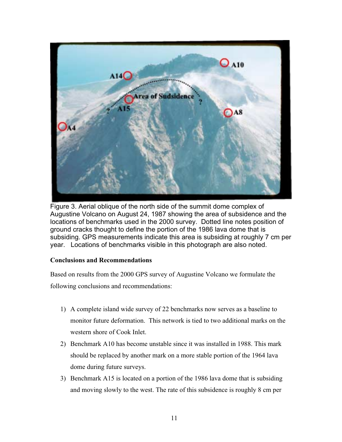

Figure 3. Aerial oblique of the north side of the summit dome complex of Augustine Volcano on August 24, 1987 showing the area of subsidence and the locations of benchmarks used in the 2000 survey. Dotted line notes position of ground cracks thought to define the portion of the 1986 lava dome that is subsiding. GPS measurements indicate this area is subsiding at roughly 7 cm per year. Locations of benchmarks visible in this photograph are also noted.

## **Conclusions and Recommendations**

Based on results from the 2000 GPS survey of Augustine Volcano we formulate the following conclusions and recommendations:

- 1) A complete island wide survey of 22 benchmarks now serves as a baseline to monitor future deformation. This network is tied to two additional marks on the western shore of Cook Inlet.
- 2) Benchmark A10 has become unstable since it was installed in 1988. This mark should be replaced by another mark on a more stable portion of the 1964 lava dome during future surveys.
- 3) Benchmark A15 is located on a portion of the 1986 lava dome that is subsiding and moving slowly to the west. The rate of this subsidence is roughly 8 cm per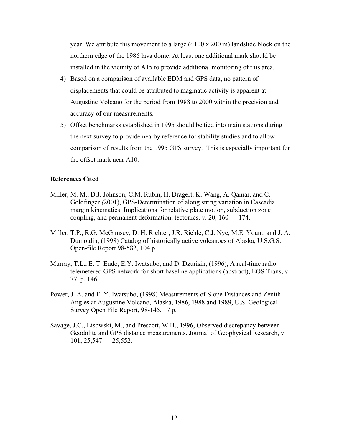year. We attribute this movement to a large  $(\sim 100 \times 200 \text{ m})$  landslide block on the northern edge of the 1986 lava dome. At least one additional mark should be installed in the vicinity of A15 to provide additional monitoring of this area.

- 4) Based on a comparison of available EDM and GPS data, no pattern of displacements that could be attributed to magmatic activity is apparent at Augustine Volcano for the period from 1988 to 2000 within the precision and accuracy of our measurements.
- 5) Offset benchmarks established in 1995 should be tied into main stations during the next survey to provide nearby reference for stability studies and to allow comparison of results from the 1995 GPS survey. This is especially important for the offset mark near A10.

## **References Cited**

- Miller, M. M., D.J. Johnson, C.M. Rubin, H. Dragert, K. Wang, A. Qamar, and C. Goldfinger *(*2001), GPS-Determination of along string variation in Cascadia margin kinematics: Implications for relative plate motion, subduction zone coupling, and permanent deformation, tectonics, v. 20, 160 — 174.
- Miller, T.P., R.G. McGimsey, D. H. Richter, J.R. Riehle, C.J. Nye, M.E. Yount, and J. A. Dumoulin, (1998) Catalog of historically active volcanoes of Alaska, U.S.G.S. Open-file Report 98-582, 104 p.
- Murray, T.L., E. T. Endo, E.Y. Iwatsubo, and D. Dzurisin, (1996), A real-time radio telemetered GPS network for short baseline applications (abstract), EOS Trans, v. 77. p. 146.
- Power, J. A. and E. Y. Iwatsubo, (1998) Measurements of Slope Distances and Zenith Angles at Augustine Volcano, Alaska, 1986, 1988 and 1989, U.S. Geological Survey Open File Report, 98-145, 17 p.
- Savage, J.C., Lisowski, M., and Prescott, W.H., 1996, Observed discrepancy between Geodolite and GPS distance measurements, Journal of Geophysical Research, v.  $101, 25, 547 - 25, 552.$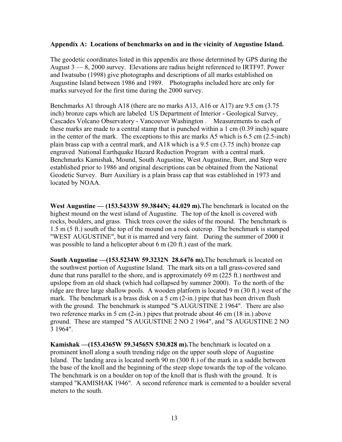## **Appendix A: Locations of benchmarks on and in the vicinity of Augustine Island.**

The geodetic coordinates listed in this appendix are those determined by GPS during the August 3 — 8, 2000 survey. Elevations are radius height referenced to IRTF97. Power and Iwatsubo (1998) give photographs and descriptions of all marks established on Augustine Island between 1986 and 1989. Photographs included here are only for marks surveyed for the first time during the 2000 survey.

Benchmarks A1 through A18 (there are no marks A13, A16 or A17) are 9.5 cm (3.75 inch) bronze caps which are labeled US Department of Interior - Geological Survey, Cascades Volcano Observatory - Vancouver Washington . Measurements to each of these marks are made to a central stamp that is punched within a 1 cm (0.39 inch) square in the center of the mark. The exceptions to this are marks A5 which is 6.5 cm (2.5-inch) plain brass cap with a central mark, and A18 which is a 9.5 cm (3.75 inch) bronze cap engraved National Earthquake Hazard Reduction Program with a central mark. Benchmarks Kamishak, Mound, South Augustine, West Augustine, Burr, and Step were established prior to 1986 and original descriptions can be obtained from the National Geodetic Survey. Burr Auxiliary is a plain brass cap that was established in 1973 and located by NOAA.

**West Augustine — (153.5433W 59.3844N; 44.029 m).** The benchmark is located on the highest mound on the west island of Augustine. The top of the knoll is covered with rocks, boulders, and grass. Thick trees cover the sides of the mound. The benchmark is 1.5 m (5 ft.) south of the top of the mound on a rock outcrop. The benchmark is stamped "WEST AUGUSTINE", but it is marred and very faint. During the summer of 2000 it was possible to land a helicopter about 6 m (20 ft.) east of the mark.

**South Augustine —(153.5234W 59.3232N 28.6476 m).** The benchmark is located on the southwest portion of Augustine Island. The mark sits on a tall grass-covered sand dune that runs parallel to the shore, and is approximately 69 m (225 ft.) northwest and upslope from an old shack (which had collapsed by summer 2000). To the north of the ridge are three large shallow pools. A wooden platform is located 9 m (30 ft.) west of the mark. The benchmark is a brass disk on a 5 cm (2-in.) pipe that has been driven flush with the ground. The benchmark is stamped "S AUGUSTINE 2 1964". There are also two reference marks in 5 cm (2-in.) pipes that protrude about 46 cm (18 in.) above ground. These are stamped "S AUGUSTINE 2 NO 2 1964", and "S AUGUSTINE 2 NO 3 1964".

**Kamishak —(153.4365W 59.34565N 530.828 m).** The benchmark is located on a prominent knoll along a south trending ridge on the upper south slope of Augustine Island. The landing area is located north 90 m (300 ft.) of the mark in a saddle between the base of the knoll and the beginning of the steep slope towards the top of the volcano. The benchmark is on a boulder on top of the knoll that is flush with the ground. It is stamped "KAMISHAK 1946". A second reference mark is cemented to a boulder several meters to the south.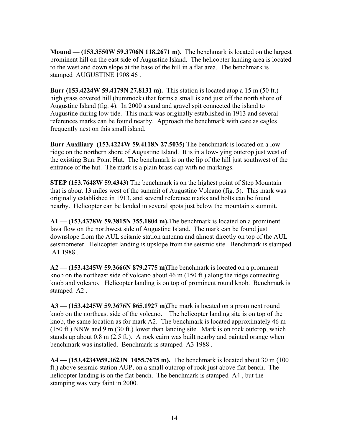**Mound — (153.3550W 59.3706N 118.2671 m).** The benchmark is located on the largest prominent hill on the east side of Augustine Island. The helicopter landing area is located to the west and down slope at the base of the hill in a flat area. The benchmark is stamped AUGUSTINE 1908 46 .

**Burr (153.4224W 59.4179N 27.8131 m).** This station is located atop a 15 m (50 ft.) high grass covered hill (hummock) that forms a small island just off the north shore of Augustine Island (fig. 4). In 2000 a sand and gravel spit connected the island to Augustine during low tide. This mark was originally established in 1913 and several references marks can be found nearby. Approach the benchmark with care as eagles frequently nest on this small island.

**Burr Auxiliary (153.4224W 59.4118N 27.5035)** The benchmark is located on a low ridge on the northern shore of Augustine Island. It is in a low-lying outcrop just west of the existing Burr Point Hut. The benchmark is on the lip of the hill just southwest of the entrance of the hut. The mark is a plain brass cap with no markings.

**STEP (153.7648W 59.4343)** The benchmark is on the highest point of Step Mountain that is about 13 miles west of the summit of Augustine Volcano (fig. 5). This mark was originally established in 1913, and several reference marks and bolts can be found nearby. Helicopter can be landed in several spots just below the mountain s summit.

**A1 — (153.4378W 59.3815N 355.1804 m).** The benchmark is located on a prominent lava flow on the northwest side of Augustine Island. The mark can be found just downslope from the AUL seismic station antenna and almost directly on top of the AUL seismometer. Helicopter landing is upslope from the seismic site. Benchmark is stamped A1 1988 .

**A2 — (153.4245W 59.3666N 879.2775 m).** The benchmark is located on a prominent knob on the northeast side of volcano about 46 m (150 ft.) along the ridge connecting knob and volcano. Helicopter landing is on top of prominent round knob. Benchmark is stamped A2 .

A3 — (153.4245W 59.3676N 865.1927 m). The mark is located on a prominent round knob on the northeast side of the volcano. The helicopter landing site is on top of the knob, the same location as for mark A2. The benchmark is located approximately 46 m (150 ft.) NNW and 9 m (30 ft.) lower than landing site. Mark is on rock outcrop, which stands up about 0.8 m (2.5 ft.). A rock cairn was built nearby and painted orange when benchmark was installed. Benchmark is stamped A3 1988 .

**A4 — (153.4234W59.3623N 1055.7675 m).** The benchmark is located about 30 m (100) ft.) above seismic station AUP, on a small outcrop of rock just above flat bench. The helicopter landing is on the flat bench. The benchmark is stamped A4 , but the stamping was very faint in 2000.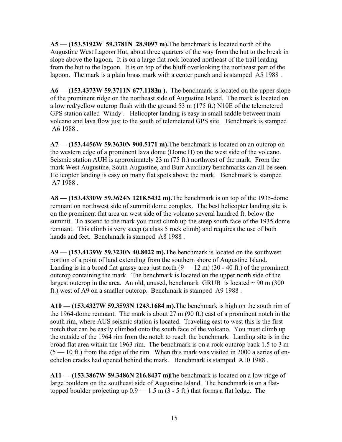**A5 — (153.5192W 59.3781N 28.9097 m).** The benchmark is located north of the Augustine West Lagoon Hut, about three quarters of the way from the hut to the break in slope above the lagoon. It is on a large flat rock located northeast of the trail leading from the hut to the lagoon. It is on top of the bluff overlooking the northeast part of the lagoon. The mark is a plain brass mark with a center punch and is stamped A5 1988 .

**A6 — (153.4373W 59.3711N 677.1183m).** The benchmark is located on the upper slope of the prominent ridge on the northeast side of Augustine Island. The mark is located on a low red/yellow outcrop flush with the ground 53 m (175 ft.) N10E of the telemetered GPS station called Windy . Helicopter landing is easy in small saddle between main volcano and lava flow just to the south of telemetered GPS site. Benchmark is stamped A6 1988 .

**A7 — (153.4456W 59.3630N 900.5171 m).** The benchmark is located on an outcrop on the western edge of a prominent lava dome (Dome H) on the west side of the volcano. Seismic station AUH is approximately 23 m (75 ft.) northwest of the mark. From the mark West Augustine, South Augustine, and Burr Auxiliary benchmarks can all be seen. Helicopter landing is easy on many flat spots above the mark. Benchmark is stamped A7 1988 .

**A8 — (153.4330W 59.3624N 1218.5432 m).** The benchmark is on top of the 1935-dome remnant on northwest side of summit dome complex. The best helicopter landing site is on the prominent flat area on west side of the volcano several hundred ft. below the summit. To ascend to the mark you must climb up the steep south face of the 1935 dome remnant. This climb is very steep (a class 5 rock climb) and requires the use of both hands and feet. Benchmark is stamped A8 1988 .

**A9 — (153.4139W 59.3230N 40.8022 m).** The benchmark is located on the southwest portion of a point of land extending from the southern shore of Augustine Island. Landing is in a broad flat grassy area just north  $(9 - 12 \text{ m}) (30 - 40 \text{ ft})$  of the prominent outcrop containing the mark. The benchmark is located on the upper north side of the largest outcrop in the area. An old, unused, benchmark GRUB is located  $\sim$  90 m (300) ft.) west of A9 on a smaller outcrop. Benchmark is stamped A9 1988 .

**A10 — (153.4327W 59.3593N 1243.1684 m).** The benchmark is high on the south rim of the 1964-dome remnant. The mark is about 27 m (90 ft.) east of a prominent notch in the south rim, where AUS seismic station is located. Traveling east to west this is the first notch that can be easily climbed onto the south face of the volcano. You must climb up the outside of the 1964 rim from the notch to reach the benchmark. Landing site is in the broad flat area within the 1963 rim. The benchmark is on a rock outcrop back 1.5 to 3 m  $(5 - 10$  ft.) from the edge of the rim. When this mark was visited in 2000 a series of enechelon cracks had opened behind the mark. Benchmark is stamped A10 1988 .

**A11 — (153.3867W 59.3486N 216.8437 m)** The benchmark is located on a low ridge of large boulders on the southeast side of Augustine Island. The benchmark is on a flattopped boulder projecting up  $0.9 - 1.5$  m  $(3 - 5$  ft.) that forms a flat ledge. The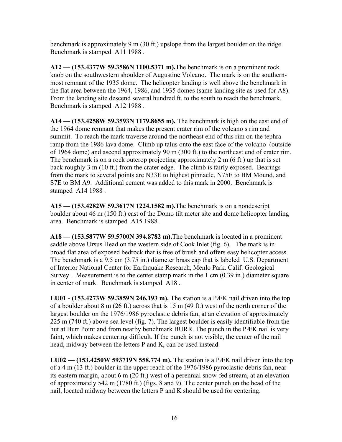benchmark is approximately 9 m (30 ft.) upslope from the largest boulder on the ridge. Benchmark is stamped A11 1988 .

**A12 — (153.4377W 59.3586N 1100.5371 m).** The benchmark is on a prominent rock knob on the southwestern shoulder of Augustine Volcano. The mark is on the southernmost remnant of the 1935 dome. The helicopter landing is well above the benchmark in the flat area between the 1964, 1986, and 1935 domes (same landing site as used for A8). From the landing site descend several hundred ft. to the south to reach the benchmark. Benchmark is stamped A12 1988 .

**A14 — (153.4258W 59.3593N 1179.8655 m).** The benchmark is high on the east end of the 1964 dome remnant that makes the present crater rim of the volcano s rim and summit. To reach the mark traverse around the northeast end of this rim on the tephra ramp from the 1986 lava dome. Climb up talus onto the east face of the volcano (outside of 1964 dome) and ascend approximately 90 m (300 ft.) to the northeast end of crater rim. The benchmark is on a rock outcrop projecting approximately 2 m (6 ft.) up that is set back roughly 3 m (10 ft.) from the crater edge. The climb is fairly exposed. Bearings from the mark to several points are N33E to highest pinnacle, N75E to BM Mound, and S7E to BM A9. Additional cement was added to this mark in 2000. Benchmark is stamped A14 1988 .

**A15 — (153.4282W 59.3617N 1224.1582 m).** The benchmark is on a nondescript boulder about 46 m (150 ft.) east of the Domo tilt meter site and dome helicopter landing area. Benchmark is stamped A15 1988 .

**A18 — (153.5877W 59.5700N 394.8782 m).** The benchmark is located in a prominent saddle above Ursus Head on the western side of Cook Inlet (fig. 6). The mark is in broad flat area of exposed bedrock that is free of brush and offers easy helicopter access. The benchmark is a 9.5 cm (3.75 in.) diameter brass cap that is labeled U.S. Department of Interior National Center for Earthquake Research, Menlo Park. Calif. Geological Survey . Measurement is to the center stamp mark in the 1 cm (0.39 in.) diameter square in center of mark.Benchmark is stamped A18 .

**LU01 - (153.4273W 59.3859N 246.193 m).** The station is a PÆK nail driven into the top of a boulder about 8 m (26 ft.) across that is 15 m (49 ft.) west of the north corner of the largest boulder on the 1976/1986 pyroclastic debris fan, at an elevation of approximately 225 m (740 ft.) above sea level (fig. 7). The largest boulder is easily identifiable from the hut at Burr Point and from nearby benchmark BURR. The punch in the PÆK nail is very faint, which makes centering difficult. If the punch is not visible, the center of the nail head, midway between the letters P and K, can be used instead.

**LU02 — (153.4250W 593719N 558.774 m).** The station is a PÆK nail driven into the top of a 4 m (13 ft.) boulder in the upper reach of the 1976/1986 pyroclastic debris fan, near its eastern margin, about 6 m (20 ft.) west of a perennial snow-fed stream, at an elevation of approximately 542 m (1780 ft.) (figs. 8 and 9). The center punch on the head of the nail, located midway between the letters P and K should be used for centering.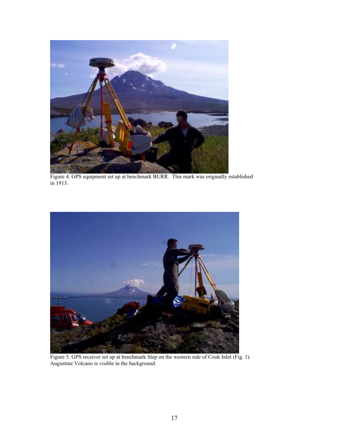

Figure 4. GPS equipment set up at benchmark BURR. This mark was originally established in 1913.



Figure 5. GPS receiver set up at benchmark Step on the western side of Cook Inlet (Fig. 1). Augustine Volcano is visible in the background.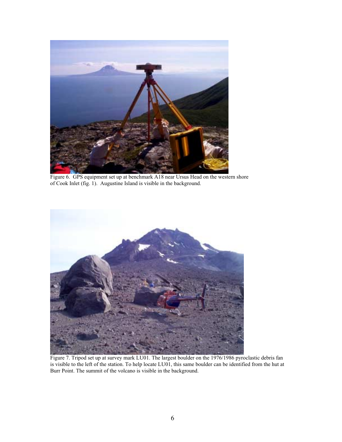

Figure 6. GPS equipment set up at benchmark A18 near Ursus Head on the western shore of Cook Inlet (fig. 1). Augustine Island is visible in the background.



Figure 7. Tripod set up at survey mark LU01. The largest boulder on the 1976/1986 pyroclastic debris fan is visible to the left of the station. To help locate LU01, this same boulder can be identified from the hut at Burr Point. The summit of the volcano is visible in the background.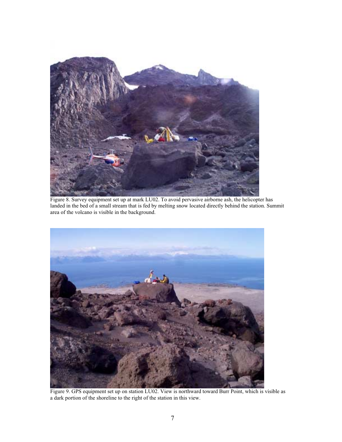

Figure 8. Survey equipment set up at mark LU02. To avoid pervasive airborne ash, the helicopter has landed in the bed of a small stream that is fed by melting snow located directly behind the station. Summit area of the volcano is visible in the background.



Figure 9. GPS equipment set up on station LU02. View is northward toward Burr Point, which is visible as a dark portion of the shoreline to the right of the station in this view.